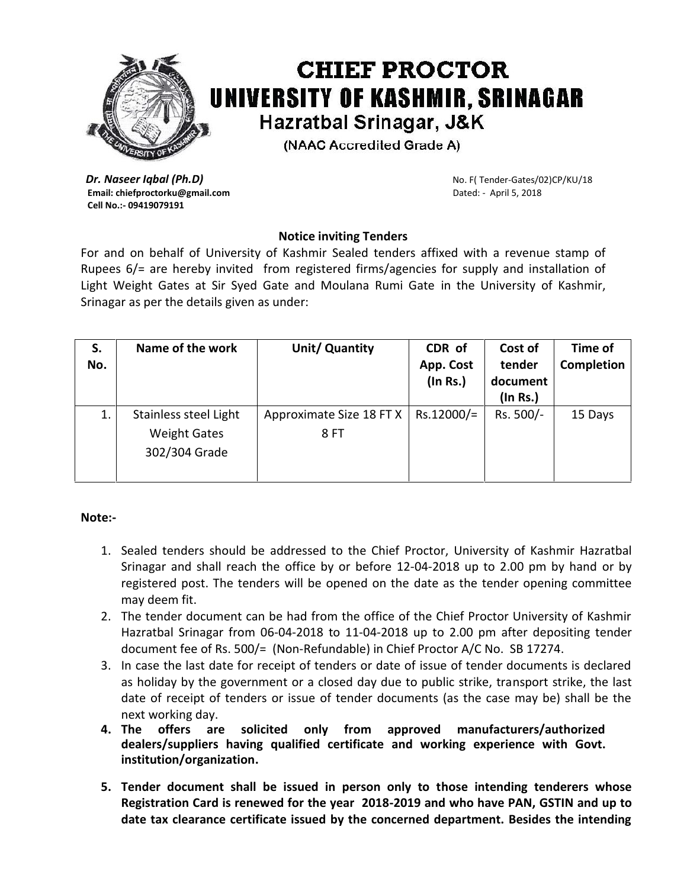

## **CHIEF PROCTOR** UNIVERSITY OF KASHMIR, SRINAGAR Hazratbal Srinagar, J&K

(NAAC Accredited Grade A)

**Dr. Naseer Iqbal (Ph.D)** No. F( Tender-Gates/02)CP/KU/18 **Email: chiefproctorku@gmail.com Dated: - April 5, 2018 Cell No.:- 09419079191**

## **Notice inviting Tenders**

For and on behalf of University of Kashmir Sealed tenders affixed with a revenue stamp of Rupees 6/= are hereby invited from registered firms/agencies for supply and installation of Light Weight Gates at Sir Syed Gate and Moulana Rumi Gate in the University of Kashmir, Srinagar as per the details given as under:

| S.<br>No. | Name of the work                                              | Unit/ Quantity                   | CDR of<br>App. Cost<br>(In Rs.) | Cost of<br>tender<br>document<br>$($ In Rs. $)$ | Time of<br><b>Completion</b> |
|-----------|---------------------------------------------------------------|----------------------------------|---------------------------------|-------------------------------------------------|------------------------------|
|           | Stainless steel Light<br><b>Weight Gates</b><br>302/304 Grade | Approximate Size 18 FT X<br>8 FT | $Rs.12000/=$                    | Rs. 500/-                                       | 15 Days                      |

## **Note:-**

- 1. Sealed tenders should be addressed to the Chief Proctor, University of Kashmir Hazratbal Srinagar and shall reach the office by or before 12-04-2018 up to 2.00 pm by hand or by registered post. The tenders will be opened on the date as the tender opening committee may deem fit.
- 2. The tender document can be had from the office of the Chief Proctor University of Kashmir Hazratbal Srinagar from 06-04-2018 to 11-04-2018 up to 2.00 pm after depositing tender document fee of Rs. 500/= (Non-Refundable) in Chief Proctor A/C No. SB 17274.
- 3. In case the last date for receipt of tenders or date of issue of tender documents is declared as holiday by the government or a closed day due to public strike, transport strike, the last date of receipt of tenders or issue of tender documents (as the case may be) shall be the next working day.
- **4. The offers are solicited only from approved manufacturers/authorized dealers/suppliers having qualified certificate and working experience with Govt. institution/organization.**
- **5. Tender document shall be issued in person only to those intending tenderers whose Registration Card is renewed for the year 2018-2019 and who have PAN, GSTIN and up to date tax clearance certificate issued by the concerned department. Besides the intending**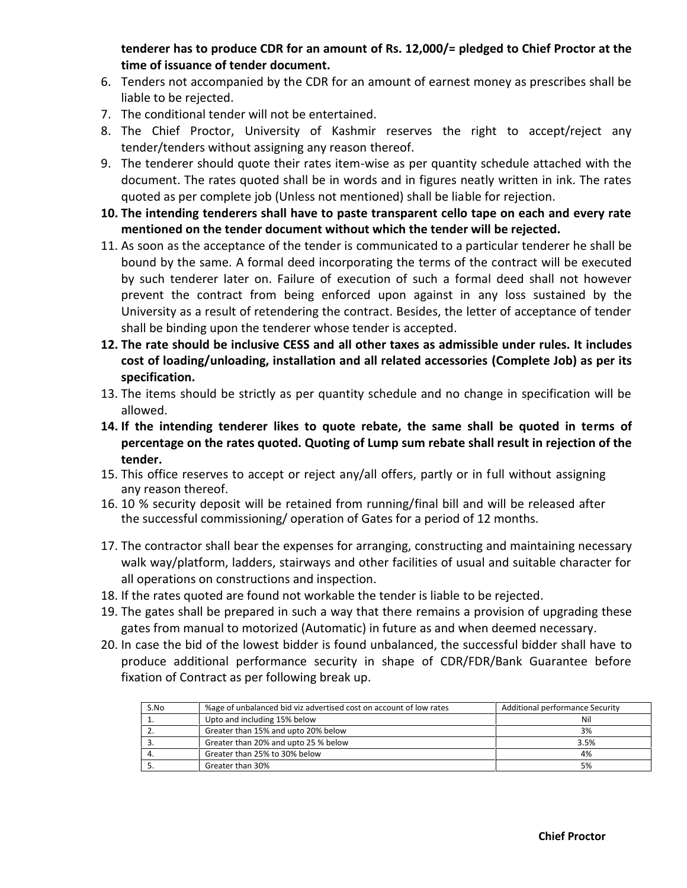**tenderer has to produce CDR for an amount of Rs. 12,000/= pledged to Chief Proctor at the time of issuance of tender document.**

- 6. Tenders not accompanied by the CDR for an amount of earnest money as prescribes shall be liable to be rejected.
- 7. The conditional tender will not be entertained.
- 8. The Chief Proctor, University of Kashmir reserves the right to accept/reject any tender/tenders without assigning any reason thereof.
- 9. The tenderer should quote their rates item-wise as per quantity schedule attached with the document. The rates quoted shall be in words and in figures neatly written in ink. The rates quoted as per complete job (Unless not mentioned) shall be liable for rejection.
- **10. The intending tenderers shall have to paste transparent cello tape on each and every rate mentioned on the tender document without which the tender will be rejected.**
- 11. As soon as the acceptance of the tender is communicated to a particular tenderer he shall be bound by the same. A formal deed incorporating the terms of the contract will be executed by such tenderer later on. Failure of execution of such a formal deed shall not however prevent the contract from being enforced upon against in any loss sustained by the University as a result of retendering the contract. Besides, the letter of acceptance of tender shall be binding upon the tenderer whose tender is accepted.
- **12. The rate should be inclusive CESS and all other taxes as admissible under rules. It includes cost of loading/unloading, installation and all related accessories (Complete Job) as per its specification.**
- 13. The items should be strictly as per quantity schedule and no change in specification will be allowed.
- **14. If the intending tenderer likes to quote rebate, the same shall be quoted in terms of percentage on the rates quoted. Quoting of Lump sum rebate shall result in rejection of the tender.**
- 15. This office reserves to accept or reject any/all offers, partly or in full without assigning any reason thereof.
- 16. 10 % security deposit will be retained from running/final bill and will be released after the successful commissioning/ operation of Gates for a period of 12 months.
- 17. The contractor shall bear the expenses for arranging, constructing and maintaining necessary walk way/platform, ladders, stairways and other facilities of usual and suitable character for all operations on constructions and inspection.
- 18. If the rates quoted are found not workable the tender is liable to be rejected.
- 19. The gates shall be prepared in such a way that there remains a provision of upgrading these gates from manual to motorized (Automatic) in future as and when deemed necessary.
- 20. In case the bid of the lowest bidder is found unbalanced, the successful bidder shall have to produce additional performance security in shape of CDR/FDR/Bank Guarantee before fixation of Contract as per following break up.

| S.No | %age of unbalanced bid viz advertised cost on account of low rates | Additional performance Security |
|------|--------------------------------------------------------------------|---------------------------------|
|      | Upto and including 15% below                                       | Nil                             |
|      | Greater than 15% and upto 20% below                                | 3%                              |
|      | Greater than 20% and upto 25 % below                               | 3.5%                            |
| -4.  | Greater than 25% to 30% below                                      | 4%                              |
|      | Greater than 30%                                                   | 5%                              |